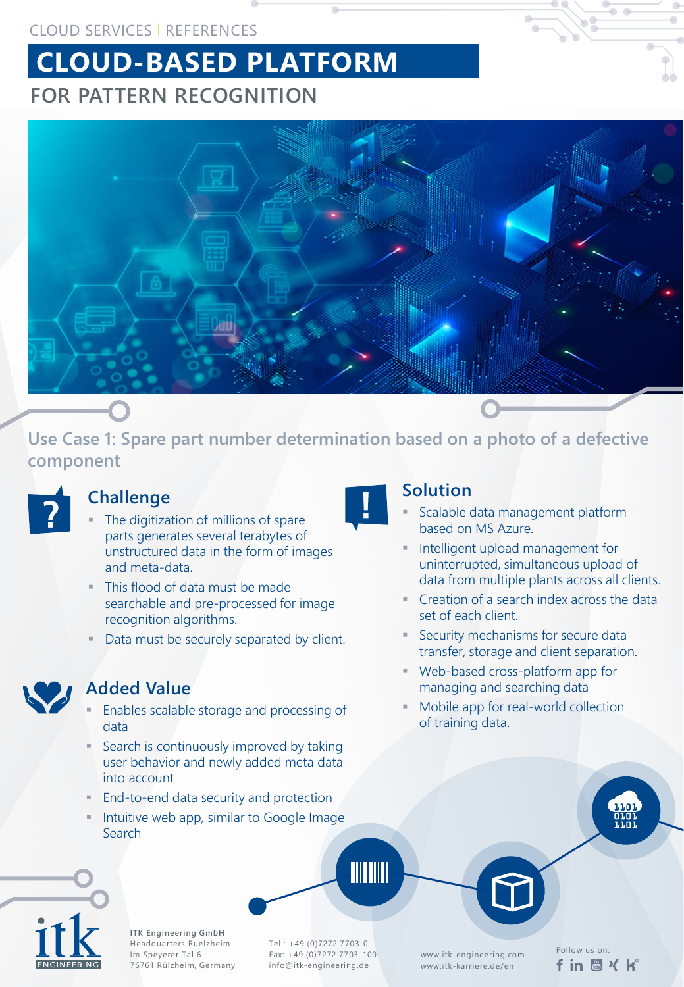#### CLOUD SERVICES | REFERENCES

# **CLOUD-BASED PLATFORM FOR PATTERN RECOGNITION**



**Use Case 1: Spare part number determination based on a photo of a defective component**



## **Challenge**

- The digitization of millions of spare parts generates several terabytes of unstructured data in the form of images and meta-data.
- This flood of data must be made searchable and pre-processed for image recognition algorithms.
- Data must be securely separated by client.



#### **Added Value**

- Enables scalable storage and processing of data
- Search is continuously improved by taking user behavior and newly added meta data into account
- **End-to-end data security and protection**
- Intuitive web app, similar to Google Image Search



### **Solution**

- Scalable data management platform based on MS Azure.
- Intelligent upload management for uninterrupted, simultaneous upload of data from multiple plants across all clients.
- **Creation of a search index across the data** set of each client.
- Security mechanisms for secure data transfer, storage and client separation.
- Web-based cross-platform app for managing and searching data
- **Mobile app for real-world collection** of training data.





**ITK Engineering GmbH** Headquarters Ruelzheim Im Speyerer Tal 6 76761 Rülzheim, Germany

Follow us on: Tel.: +49 (0)7272 7703-0 Fax: +49 (0)7272 7703-100 info@itk-engineering.de

**TITTIIT** 

www.itk-engineering.com www.itk-karriere.de/en

fin M X k